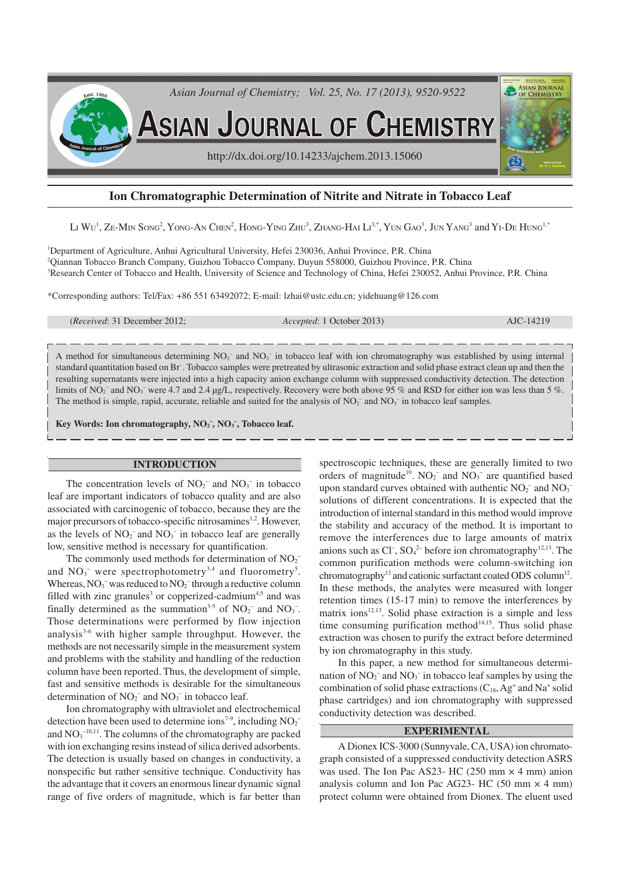

# **Ion Chromatographic Determination of Nitrite and Nitrate in Tobacco Leaf**

Li  $\rm{Wu}^{\rm I}$ , Ze-Min Song<sup>2</sup>, Yong-An Chen<sup>2</sup>, Hong-Ying Zhu<sup>3</sup>, Zhang-Hai Li $^{3,*}$ , Yun Gao $^3$ , Jun Yang $^3$  and Yi-De Hung<sup>1,\*</sup>

<sup>1</sup>Department of Agriculture, Anhui Agricultural University, Hefei 230036, Anhui Province, P.R. China <sup>2</sup>Qiannan Tobacco Branch Company, Guizhou Tobacco Company, Duyun 558000, Guizhou Province, P.R. China <sup>3</sup>Research Center of Tobacco and Health, University of Science and Technology of China, Hefei 230052, Anhui Province, P.R. China

\*Corresponding authors: Tel/Fax: +86 551 63492072; E-mail: lzhai@ustc.edu.cn; yidehuang@126.com

(*Received*: 31 December 2012; *Accepted*: 1 October 2013) AJC-14219

A method for simultaneous determining  $NO<sub>2</sub><sup>-</sup>$  and  $NO<sub>3</sub><sup>-</sup>$  in tobacco leaf with ion chromatography was established by using internal standard quantitation based on Br– . Tobacco samples were pretreated by ultrasonic extraction and solid phase extract clean up and then the resulting supernatants were injected into a high capacity anion exchange column with suppressed conductivity detection. The detection limits of NO<sub>2</sub><sup>-</sup> and NO<sub>3</sub><sup>-</sup> were 4.7 and 2.4 µg/L, respectively. Recovery were both above 95 % and RSD for either ion was less than 5 %. The method is simple, rapid, accurate, reliable and suited for the analysis of  $NO<sub>2</sub>^-$  and  $NO<sub>3</sub>^-$  in tobacco leaf samples.

**Key Words: Ion chromatography, NO<sup>2</sup> – , NO<sup>3</sup> – , Tobacco leaf.**

### **INTRODUCTION**

The concentration levels of  $NO<sub>2</sub><sup>-</sup>$  and  $NO<sub>3</sub><sup>-</sup>$  in tobacco leaf are important indicators of tobacco quality and are also associated with carcinogenic of tobacco, because they are the major precursors of tobacco-specific nitrosamines<sup>1,2</sup>. However, as the levels of  $NO<sub>2</sub><sup>-</sup>$  and  $NO<sub>3</sub><sup>-</sup>$  in tobacco leaf are generally low, sensitive method is necessary for quantification.

The commonly used methods for determination of  $NO<sub>2</sub>$ <sup>-</sup> and  $NO_3$ <sup>-</sup> were spectrophotometry<sup>3,4</sup> and fluorometry<sup>5</sup>. Whereas,  $NO_3^-$  was reduced to  $NO_2^-$  through a reductive column filled with zinc granules<sup>3</sup> or copperized-cadmium<sup>4,5</sup> and was finally determined as the summation<sup>3-5</sup> of  $NO_2^-$  and  $NO_3^-$ . Those determinations were performed by flow injection analysis $3-6$  with higher sample throughput. However, the methods are not necessarily simple in the measurement system and problems with the stability and handling of the reduction column have been reported. Thus, the development of simple, fast and sensitive methods is desirable for the simultaneous determination of  $NO<sub>2</sub><sup>-</sup>$  and  $NO<sub>3</sub><sup>-</sup>$  in tobacco leaf.

Ion chromatography with ultraviolet and electrochemical detection have been used to determine ions<sup>7-9</sup>, including  $NO<sub>2</sub>$ <sup>-</sup> and  $NO<sub>3</sub><sup>-10,11</sup>$ . The columns of the chromatography are packed with ion exchanging resins instead of silica derived adsorbents. The detection is usually based on changes in conductivity, a nonspecific but rather sensitive technique. Conductivity has the advantage that it covers an enormous linear dynamic signal range of five orders of magnitude, which is far better than

spectroscopic techniques, these are generally limited to two orders of magnitude<sup>10</sup>.  $NO_2^-$  and  $NO_3^-$  are quantified based upon standard curves obtained with authentic  $NO_2^-$  and  $NO_3^$ solutions of different concentrations. It is expected that the introduction of internal standard in this method would improve the stability and accuracy of the method. It is important to remove the interferences due to large amounts of matrix anions such as  $Cl^-, SO_4^2$  before ion chromatography<sup>12,13</sup>. The common purification methods were column-switching ion chromatography<sup>13</sup> and cationic surfactant coated ODS column<sup>12</sup>. In these methods, the analytes were measured with longer retention times (15-17 min) to remove the interferences by matrix ions $12,13$ . Solid phase extraction is a simple and less time consuming purification method $14,15$ . Thus solid phase extraction was chosen to purify the extract before determined by ion chromatography in this study.

In this paper, a new method for simultaneous determination of  $NO<sub>2</sub><sup>-</sup>$  and  $NO<sub>3</sub><sup>-</sup>$  in tobacco leaf samples by using the combination of solid phase extractions  $(C_{18}, Ag^+$  and  $Na^+$  solid phase cartridges) and ion chromatography with suppressed conductivity detection was described.

## **EXPERIMENTAL**

A Dionex ICS-3000 (Sunnyvale, CA, USA) ion chromatograph consisted of a suppressed conductivity detection ASRS was used. The Ion Pac AS23- HC (250 mm  $\times$  4 mm) anion analysis column and Ion Pac AG23- HC (50 mm  $\times$  4 mm) protect column were obtained from Dionex. The eluent used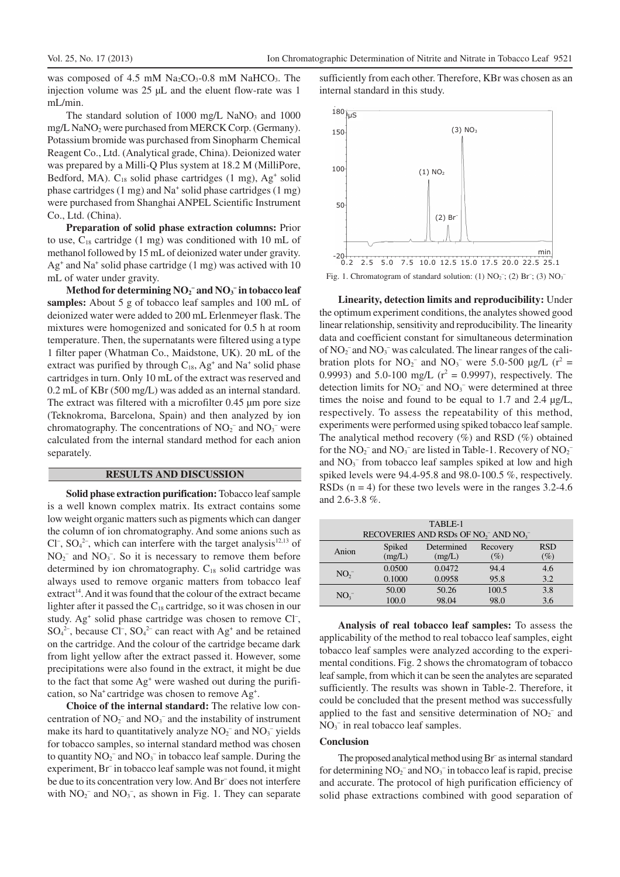was composed of 4.5 mM  $Na<sub>2</sub>CO<sub>3</sub>$ -0.8 mM NaHCO<sub>3</sub>. The injection volume was 25 µL and the eluent flow-rate was 1 mL/min.

The standard solution of 1000 mg/L NaNO<sub>3</sub> and 1000 mg/L NaNO<sub>2</sub> were purchased from MERCK Corp. (Germany). Potassium bromide was purchased from Sinopharm Chemical Reagent Co., Ltd. (Analytical grade, China). Deionized water was prepared by a Milli-Q Plus system at 18.2 M (MilliPore, Bedford, MA).  $C_{18}$  solid phase cartridges (1 mg),  $Ag<sup>+</sup>$  solid phase cartridges (1 mg) and Na<sup>+</sup> solid phase cartridges (1 mg) were purchased from Shanghai ANPEL Scientific Instrument Co., Ltd. (China).

**Preparation of solid phase extraction columns:** Prior to use,  $C_{18}$  cartridge (1 mg) was conditioned with 10 mL of methanol followed by 15 mL of deionized water under gravity. Ag<sup>+</sup> and Na<sup>+</sup> solid phase cartridge (1 mg) was actived with 10 mL of water under gravity.

**Method for determining NO<sup>2</sup> – and NO<sup>3</sup> – in tobacco leaf samples:** About 5 g of tobacco leaf samples and 100 mL of deionized water were added to 200 mL Erlenmeyer flask. The mixtures were homogenized and sonicated for 0.5 h at room temperature. Then, the supernatants were filtered using a type 1 filter paper (Whatman Co., Maidstone, UK). 20 mL of the extract was purified by through  $C_{18}$ , Ag<sup>+</sup> and Na<sup>+</sup> solid phase cartridges in turn. Only 10 mL of the extract was reserved and 0.2 mL of KBr (500 mg/L) was added as an internal standard. The extract was filtered with a microfilter 0.45 µm pore size (Teknokroma, Barcelona, Spain) and then analyzed by ion chromatography. The concentrations of  $NO<sub>2</sub><sup>-</sup>$  and  $NO<sub>3</sub><sup>-</sup>$  were calculated from the internal standard method for each anion separately.

# **RESULTS AND DISCUSSION**

**Solid phase extraction purification:** Tobacco leaf sample is a well known complex matrix. Its extract contains some low weight organic matters such as pigments which can danger the column of ion chromatography. And some anions such as Cl<sup>-</sup>, SO<sub>4</sub><sup>2-</sup>, which can interfere with the target analysis<sup>12,13</sup> of  $NO<sub>2</sub><sup>-</sup>$  and  $NO<sub>3</sub><sup>-</sup>$ . So it is necessary to remove them before determined by ion chromatography.  $C_{18}$  solid cartridge was always used to remove organic matters from tobacco leaf extract<sup>14</sup>. And it was found that the colour of the extract became lighter after it passed the  $C_{18}$  cartridge, so it was chosen in our study. Ag<sup>+</sup> solid phase cartridge was chosen to remove Cl<sup>-</sup>,  $SO_4^{2-}$ , because Cl<sup>-</sup>,  $SO_4^{2-}$  can react with  $Ag^+$  and be retained on the cartridge. And the colour of the cartridge became dark from light yellow after the extract passed it. However, some precipitations were also found in the extract, it might be due to the fact that some Ag<sup>+</sup> were washed out during the purification, so Na<sup>+</sup> cartridge was chosen to remove Ag<sup>+</sup>.

**Choice of the internal standard:** The relative low concentration of  $NO_2^-$  and  $NO_3^-$  and the instability of instrument make its hard to quantitatively analyze  $NO_2^-$  and  $NO_3^-$  yields for tobacco samples, so internal standard method was chosen to quantity  $NO_2^-$  and  $NO_3^-$  in tobacco leaf sample. During the experiment, Br<sup>-</sup> in tobacco leaf sample was not found, it might be due to its concentration very low. And Br<sup>-</sup> does not interfere with  $NO_2^-$  and  $NO_3^-$ , as shown in Fig. 1. They can separate

sufficiently from each other. Therefore, KBr was chosen as an internal standard in this study.



Fig. 1. Chromatogram of standard solution: (1)  $NO<sub>2</sub>^-$ ; (2)  $Br^-$ ; (3)  $NO<sub>3</sub>^-$ 

**Linearity, detection limits and reproducibility:** Under the optimum experiment conditions, the analytes showed good linear relationship, sensitivity and reproducibility. The linearity data and coefficient constant for simultaneous determination of  $NO_2^-$  and  $NO_3^-$  was calculated. The linear ranges of the calibration plots for  $NO_2^-$  and  $NO_3^-$  were 5.0-500  $\mu g/L$  ( $r^2 =$ 0.9993) and 5.0-100 mg/L ( $r^2 = 0.9997$ ), respectively. The detection limits for  $NO_2^-$  and  $NO_3^-$  were determined at three times the noise and found to be equal to 1.7 and 2.4 µg/L, respectively. To assess the repeatability of this method, experiments were performed using spiked tobacco leaf sample. The analytical method recovery  $(\%)$  and RSD  $(\%)$  obtained for the  $NO_2^-$  and  $NO_3^-$  are listed in Table-1. Recovery of  $NO_2^$ and NO<sub>3</sub><sup>-</sup> from tobacco leaf samples spiked at low and high spiked levels were 94.4-95.8 and 98.0-100.5 %, respectively. RSDs  $(n = 4)$  for these two levels were in the ranges 3.2-4.6 and 2.6-3.8 %.

| TABLE-1                                                                              |        |            |          |            |  |  |  |  |  |  |
|--------------------------------------------------------------------------------------|--------|------------|----------|------------|--|--|--|--|--|--|
| RECOVERIES AND RSDs OF NO <sub>2</sub> <sup>-</sup> AND NO <sub>3</sub> <sup>-</sup> |        |            |          |            |  |  |  |  |  |  |
| Anion                                                                                | Spiked | Determined | Recovery | <b>RSD</b> |  |  |  |  |  |  |
|                                                                                      | (mg/L) | (mg/L)     | $(\%)$   | $(\%)$     |  |  |  |  |  |  |
| NO <sub>2</sub>                                                                      | 0.0500 | 0.0472     | 94.4     | 4.6        |  |  |  |  |  |  |
|                                                                                      | 0.1000 | 0.0958     | 95.8     | 3.2        |  |  |  |  |  |  |
| NO <sub>3</sub>                                                                      | 50.00  | 50.26      | 100.5    | 3.8        |  |  |  |  |  |  |
|                                                                                      | 100.0  | 98.04      | 98.0     | 3.6        |  |  |  |  |  |  |

**Analysis of real tobacco leaf samples:** To assess the applicability of the method to real tobacco leaf samples, eight tobacco leaf samples were analyzed according to the experimental conditions. Fig. 2 shows the chromatogram of tobacco leaf sample, from which it can be seen the analytes are separated sufficiently. The results was shown in Table-2. Therefore, it could be concluded that the present method was successfully applied to the fast and sensitive determination of  $NO<sub>2</sub><sup>-</sup>$  and  $NO<sub>3</sub><sup>-</sup>$  in real tobacco leaf samples.

#### **Conclusion**

The proposed analytical method using Br<sup>-</sup> as internal standard for determining  $NO<sub>2</sub><sup>-</sup>$  and  $NO<sub>3</sub><sup>-</sup>$  in tobacco leaf is rapid, precise and accurate. The protocol of high purification efficiency of solid phase extractions combined with good separation of